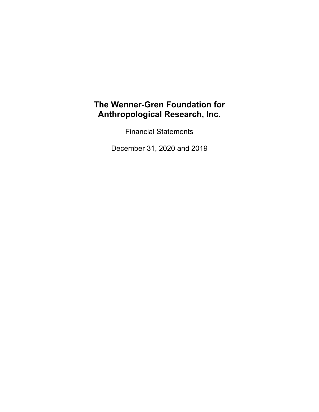Financial Statements

December 31, 2020 and 2019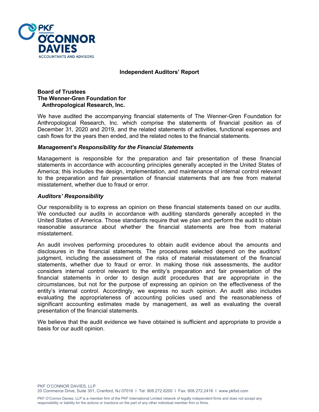

#### **Independent Auditors' Report**

#### **Board of Trustees The Wenner-Gren Foundation for Anthropological Research, Inc.**

We have audited the accompanying financial statements of The Wenner-Gren Foundation for Anthropological Research, Inc. which comprise the statements of financial position as of December 31, 2020 and 2019, and the related statements of activities, functional expenses and cash flows for the years then ended, and the related notes to the financial statements.

#### *Management's Responsibility for the Financial Statements*

Management is responsible for the preparation and fair presentation of these financial statements in accordance with accounting principles generally accepted in the United States of America; this includes the design, implementation, and maintenance of internal control relevant to the preparation and fair presentation of financial statements that are free from material misstatement, whether due to fraud or error.

#### *Auditors' Responsibility*

Our responsibility is to express an opinion on these financial statements based on our audits. We conducted our audits in accordance with auditing standards generally accepted in the United States of America. Those standards require that we plan and perform the audit to obtain reasonable assurance about whether the financial statements are free from material misstatement.

An audit involves performing procedures to obtain audit evidence about the amounts and disclosures in the financial statements. The procedures selected depend on the auditors' judgment, including the assessment of the risks of material misstatement of the financial statements, whether due to fraud or error. In making those risk assessments, the auditor considers internal control relevant to the entity's preparation and fair presentation of the financial statements in order to design audit procedures that are appropriate in the circumstances, but not for the purpose of expressing an opinion on the effectiveness of the entity's internal control. Accordingly, we express no such opinion. An audit also includes evaluating the appropriateness of accounting policies used and the reasonableness of significant accounting estimates made by management, as well as evaluating the overall presentation of the financial statements.

We believe that the audit evidence we have obtained is sufficient and appropriate to provide a basis for our audit opinion.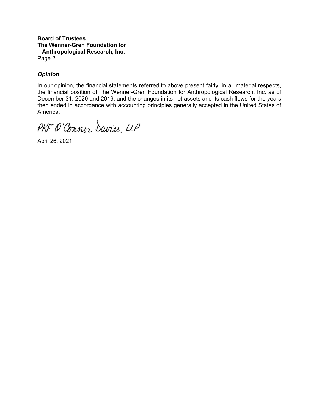#### **Board of Trustees The Wenner-Gren Foundation for Anthropological Research, Inc.**  Page 2

# *Opinion*

In our opinion, the financial statements referred to above present fairly, in all material respects, the financial position of The Wenner-Gren Foundation for Anthropological Research, Inc. as of December 31, 2020 and 2019, and the changes in its net assets and its cash flows for the years then ended in accordance with accounting principles generally accepted in the United States of America.

PKF O'Connor Davies, LLP

April 26, 2021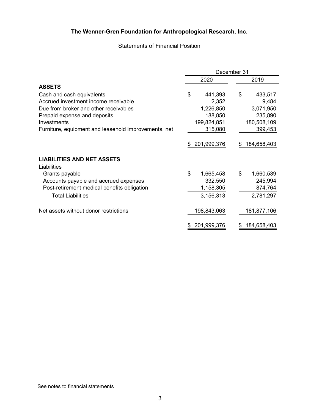Statements of Financial Position

|                                                      | December 31 |             |      |             |
|------------------------------------------------------|-------------|-------------|------|-------------|
|                                                      | 2020        |             | 2019 |             |
| <b>ASSETS</b>                                        |             |             |      |             |
| Cash and cash equivalents                            | \$          | 441,393     | \$   | 433,517     |
| Accrued investment income receivable                 |             | 2,352       |      | 9,484       |
| Due from broker and other receivables                |             | 1,226,850   |      | 3,071,950   |
| Prepaid expense and deposits                         |             | 188,850     |      | 235,890     |
| Investments                                          |             | 199,824,851 |      | 180,508,109 |
| Furniture, equipment and leasehold improvements, net |             | 315,080     |      | 399,453     |
|                                                      |             |             |      |             |
|                                                      | S           | 201,999,376 | \$   | 184,658,403 |
|                                                      |             |             |      |             |
| <b>LIABILITIES AND NET ASSETS</b>                    |             |             |      |             |
| Liabilities                                          |             |             |      |             |
| Grants payable                                       | \$          | 1,665,458   | \$   | 1,660,539   |
| Accounts payable and accrued expenses                |             | 332,550     |      | 245,994     |
| Post-retirement medical benefits obligation          |             | 1,158,305   |      | 874,764     |
| <b>Total Liabilities</b>                             |             | 3,156,313   |      | 2,781,297   |
|                                                      |             |             |      |             |
| Net assets without donor restrictions                |             | 198,843,063 |      | 181,877,106 |
|                                                      |             |             |      |             |
|                                                      |             | 201,999,376 | \$   | 184,658,403 |
|                                                      |             |             |      |             |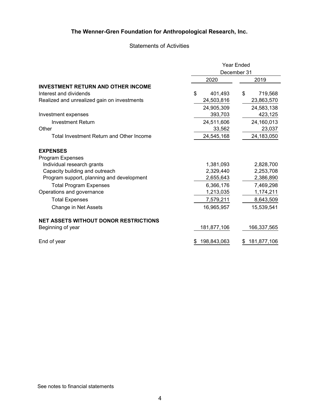# Statements of Activities

|                                              | <b>Year Ended</b> |                    |  |
|----------------------------------------------|-------------------|--------------------|--|
|                                              | December 31       |                    |  |
|                                              | 2020              | 2019               |  |
| <b>INVESTMENT RETURN AND OTHER INCOME</b>    |                   |                    |  |
| Interest and dividends                       | \$<br>401,493     | \$<br>719,568      |  |
| Realized and unrealized gain on investments  | 24,503,816        | 23,863,570         |  |
|                                              | 24,905,309        | 24,583,138         |  |
| Investment expenses                          | 393,703           | 423,125            |  |
| <b>Investment Return</b>                     | 24,511,606        | 24,160,013         |  |
| Other                                        | 33,562            | 23,037             |  |
| Total Investment Return and Other Income     | 24,545,168        | 24,183,050         |  |
| <b>EXPENSES</b>                              |                   |                    |  |
| Program Expenses                             |                   |                    |  |
| Individual research grants                   | 1,381,093         | 2,828,700          |  |
| Capacity building and outreach               | 2,329,440         | 2,253,708          |  |
| Program support, planning and development    | 2,655,643         | 2,386,890          |  |
| <b>Total Program Expenses</b>                | 6,366,176         | 7,469,298          |  |
| Operations and governance                    | 1,213,035         | 1,174,211          |  |
| <b>Total Expenses</b>                        | 7,579,211         | 8,643,509          |  |
| Change in Net Assets                         | 16,965,957        | 15,539,541         |  |
| <b>NET ASSETS WITHOUT DONOR RESTRICTIONS</b> |                   |                    |  |
| Beginning of year                            | 181,877,106       | 166,337,565        |  |
| End of year                                  | 198,843,063       | 181,877,106<br>\$. |  |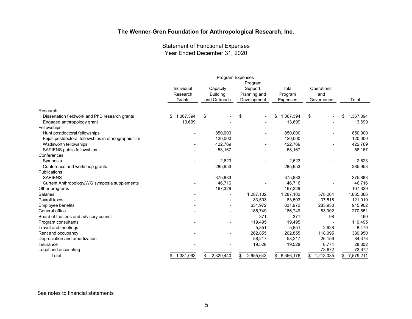# Statement of Functional Expenses Year Ended December 31, 2020

|                                                     |                                  |                                             | Program                                 |                                     |                                 |                 |
|-----------------------------------------------------|----------------------------------|---------------------------------------------|-----------------------------------------|-------------------------------------|---------------------------------|-----------------|
|                                                     | Individual<br>Research<br>Grants | Capacity<br><b>Building</b><br>and Outreach | Support,<br>Planning and<br>Development | Total<br>Program<br><b>Expenses</b> | Operations<br>and<br>Governance | Total           |
|                                                     |                                  |                                             |                                         |                                     |                                 |                 |
| Research                                            |                                  |                                             |                                         |                                     |                                 |                 |
| Dissertation fieldwork and PhD research grants      | 1,367,394<br>\$                  | \$                                          | \$                                      | 1,367,394<br>\$                     | \$                              | 1,367,394<br>\$ |
| Engaged anthropology grant                          | 13,699                           |                                             |                                         | 13,699                              |                                 | 13,699          |
| Fellowships                                         |                                  |                                             |                                         |                                     |                                 |                 |
| Hunt postdoctoral fellowships                       |                                  | 850,000                                     |                                         | 850,000                             |                                 | 850,000         |
| Fejos postdoctoral fellowships in ethnographic film |                                  | 120.000                                     |                                         | 120,000                             |                                 | 120,000         |
| Wadsworth fellowships                               |                                  | 422,769                                     |                                         | 422,769                             |                                 | 422,769         |
| SAPIENS public fellowships                          |                                  | 58,167                                      |                                         | 58,167                              |                                 | 58,167          |
| Conferences                                         |                                  |                                             |                                         |                                     |                                 |                 |
| Symposia                                            |                                  | 2,623                                       |                                         | 2,623                               |                                 | 2,623           |
| Conference and workshop grants                      |                                  | 285,953                                     |                                         | 285,953                             |                                 | 285,953         |
| <b>Publications</b>                                 |                                  |                                             |                                         |                                     |                                 |                 |
| <b>SAPIENS</b>                                      |                                  | 375,883                                     |                                         | 375,883                             |                                 | 375,883         |
| Current Anthropology/WG symposia supplements        |                                  | 46,716                                      |                                         | 46,716                              |                                 | 46,716          |
| Other programs                                      |                                  | 167,329                                     |                                         | 167,329                             |                                 | 167,329         |
| <b>Salaries</b>                                     |                                  |                                             | 1,287,102                               | 1,287,102                           | 578,264                         | 1,865,366       |
| Payroll taxes                                       |                                  |                                             | 83,503                                  | 83,503                              | 37,516                          | 121,019         |
| Employee benefits                                   |                                  |                                             | 631,972                                 | 631,972                             | 283,930                         | 915,902         |
| General office                                      |                                  |                                             | 186,749                                 | 186,749                             | 83,902                          | 270,651         |
| Board of trustees and advisory council              |                                  |                                             | 371                                     | 371                                 | 98                              | 469             |
| Program consultants                                 |                                  |                                             | 119,495                                 | 119,495                             |                                 | 119,495         |
| Travel and meetings                                 |                                  |                                             | 5,851                                   | 5,851                               | 2,628                           | 8,479           |
| Rent and occupancy                                  |                                  |                                             | 262,855                                 | 262,855                             | 118,095                         | 380,950         |
| Depreciation and amortization                       |                                  |                                             | 58,217                                  | 58,217                              | 26,156                          | 84,373          |
| Insurance                                           |                                  |                                             | 19,528                                  | 19,528                              | 8,774                           | 28,302          |
| Legal and accounting                                |                                  |                                             |                                         |                                     | 73,672                          | 73,672          |
| Total                                               | \$1,381,093                      | 2,329,440<br>\$                             | 2,655,643<br>\$                         | 6,366,176<br>\$                     | 1,213,035<br>\$                 | \$7,579,211     |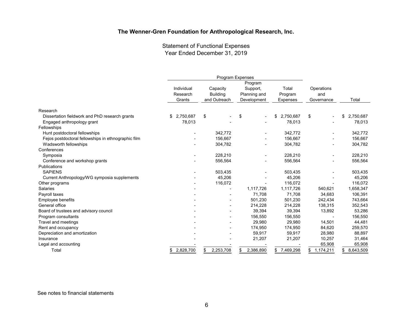# Statement of Functional Expenses Year Ended December 31, 2019

|                                                     |                                  |                                             | Program                                 |                              |                                 |           |
|-----------------------------------------------------|----------------------------------|---------------------------------------------|-----------------------------------------|------------------------------|---------------------------------|-----------|
|                                                     | Individual<br>Research<br>Grants | Capacity<br><b>Building</b><br>and Outreach | Support,<br>Planning and<br>Development | Total<br>Program<br>Expenses | Operations<br>and<br>Governance | Total     |
|                                                     |                                  |                                             |                                         |                              |                                 |           |
| Research                                            |                                  |                                             |                                         |                              |                                 |           |
| Dissertation fieldwork and PhD research grants      | 2,750,687<br>\$                  | \$                                          | \$                                      | 2,750,687<br>\$              | \$                              | 2,750,687 |
| Engaged anthropology grant                          | 78,013                           |                                             |                                         | 78,013                       |                                 | 78,013    |
| Fellowships                                         |                                  |                                             |                                         |                              |                                 |           |
| Hunt postdoctoral fellowships                       |                                  | 342,772                                     |                                         | 342,772                      |                                 | 342,772   |
| Fejos postdoctoral fellowships in ethnographic film |                                  | 156,667                                     |                                         | 156,667                      |                                 | 156,667   |
| Wadsworth fellowships                               |                                  | 304,782                                     |                                         | 304,782                      |                                 | 304,782   |
| Conferences                                         |                                  |                                             |                                         |                              |                                 |           |
| Symposia                                            |                                  | 228,210                                     |                                         | 228,210                      |                                 | 228,210   |
| Conference and workshop grants                      |                                  | 556,564                                     |                                         | 556,564                      |                                 | 556,564   |
| Publications                                        |                                  |                                             |                                         |                              |                                 |           |
| <b>SAPIENS</b>                                      |                                  | 503,435                                     |                                         | 503,435                      |                                 | 503,435   |
| Current Anthropology/WG symposia supplements        |                                  | 45,206                                      |                                         | 45,206                       |                                 | 45,206    |
| Other programs                                      |                                  | 116,072                                     |                                         | 116,072                      |                                 | 116,072   |
| Salaries                                            |                                  |                                             | 1,117,726                               | 1,117,726                    | 540,621                         | 1,658,347 |
| Payroll taxes                                       |                                  |                                             | 71,708                                  | 71,708                       | 34,683                          | 106,391   |
| <b>Employee benefits</b>                            |                                  |                                             | 501,230                                 | 501,230                      | 242,434                         | 743,664   |
| General office                                      |                                  |                                             | 214,228                                 | 214,228                      | 138,315                         | 352,543   |
| Board of trustees and advisory council              |                                  |                                             | 39,394                                  | 39,394                       | 13,892                          | 53,286    |
| Program consultants                                 |                                  |                                             | 156,550                                 | 156,550                      |                                 | 156,550   |
| Travel and meetings                                 |                                  |                                             | 29,980                                  | 29,980                       | 14,501                          | 44,481    |
| Rent and occupancy                                  |                                  |                                             | 174,950                                 | 174,950                      | 84,620                          | 259,570   |
| Depreciation and amortization                       |                                  |                                             | 59,917                                  | 59,917                       | 28,980                          | 88,897    |
| Insurance                                           |                                  |                                             | 21,207                                  | 21,207                       | 10,257                          | 31,464    |
| Legal and accounting                                |                                  |                                             |                                         |                              | 65,908                          | 65,908    |
| Total                                               | \$2,828,700                      | 2,253,708<br>\$                             | 2,386,890<br>\$                         | 7,469,298<br>\$              | 1,174,211<br>\$                 | 8,643,509 |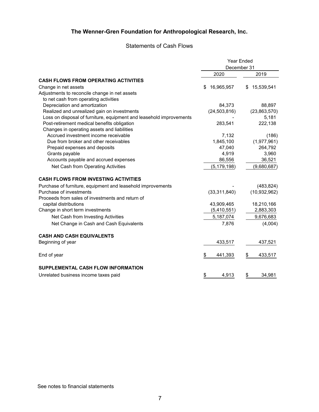# Statements of Cash Flows

|                                                                     | Year Ended       |                 |  |
|---------------------------------------------------------------------|------------------|-----------------|--|
|                                                                     | December 31      |                 |  |
|                                                                     | 2020             | 2019            |  |
| <b>CASH FLOWS FROM OPERATING ACTIVITIES</b>                         |                  |                 |  |
| Change in net assets                                                | 16,965,957<br>\$ | 15,539,541<br>S |  |
| Adjustments to reconcile change in net assets                       |                  |                 |  |
| to net cash from operating activities                               |                  |                 |  |
| Depreciation and amortization                                       | 84,373           | 88,897          |  |
| Realized and unrealized gain on investments                         | (24, 503, 816)   | (23,863,570)    |  |
| Loss on disposal of furniture, equipment and leasehold improvements |                  | 5,181           |  |
| Post-retirement medical benefits obligation                         | 283,541          | 222,138         |  |
| Changes in operating assets and liabilities                         |                  |                 |  |
| Accrued investment income receivable                                | 7,132            | (186)           |  |
| Due from broker and other receivables                               | 1,845,100        | (1,977,961)     |  |
| Prepaid expenses and deposits                                       | 47,040           | 264,792         |  |
| Grants payable                                                      | 4,919            | 3,960           |  |
| Accounts payable and accrued expenses                               | 86,556           | 36,521          |  |
| Net Cash from Operating Activities                                  | (5, 179, 198)    | (9,680,687)     |  |
| <b>CASH FLOWS FROM INVESTING ACTIVITIES</b>                         |                  |                 |  |
| Purchase of furniture, equipment and leasehold improvements         |                  | (483, 824)      |  |
| Purchase of investments                                             | (33, 311, 840)   | (10, 932, 962)  |  |
| Proceeds from sales of investments and return of                    |                  |                 |  |
| capital distributions                                               | 43,909,465       | 18,210,166      |  |
| Change in short term investments                                    | (5,410,551)      | 2,883,303       |  |
| Net Cash from Investing Activities                                  | 5, 187, 074      | 9,676,683       |  |
| Net Change in Cash and Cash Equivalents                             | 7,876            | (4,004)         |  |
| <b>CASH AND CASH EQUIVALENTS</b>                                    |                  |                 |  |
| Beginning of year                                                   | 433,517          | 437,521         |  |
|                                                                     |                  |                 |  |
| End of year                                                         | \$<br>441,393    | \$<br>433,517   |  |
| SUPPLEMENTAL CASH FLOW INFORMATION                                  |                  |                 |  |
| Unrelated business income taxes paid                                | \$<br>4,913      | \$<br>34,981    |  |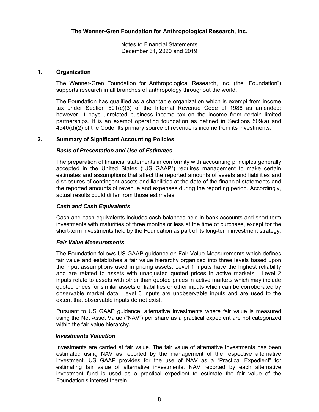#### **1. Organization**

The Wenner-Gren Foundation for Anthropological Research, Inc. (the "Foundation") supports research in all branches of anthropology throughout the world.

The Foundation has qualified as a charitable organization which is exempt from income tax under Section 501(c)(3) of the Internal Revenue Code of 1986 as amended; however, it pays unrelated business income tax on the income from certain limited partnerships. It is an exempt operating foundation as defined in Sections 509(a) and 4940(d)(2) of the Code. Its primary source of revenue is income from its investments.

## **2. Summary of Significant Accounting Policies**

#### *Basis of Presentation and Use of Estimates*

The preparation of financial statements in conformity with accounting principles generally accepted in the United States ("US GAAP") requires management to make certain estimates and assumptions that affect the reported amounts of assets and liabilities and disclosures of contingent assets and liabilities at the date of the financial statements and the reported amounts of revenue and expenses during the reporting period. Accordingly, actual results could differ from those estimates.

#### *Cash and Cash Equivalents*

Cash and cash equivalents includes cash balances held in bank accounts and short-term investments with maturities of three months or less at the time of purchase, except for the short-term investments held by the Foundation as part of its long-term investment strategy.

#### *Fair Value Measurements*

The Foundation follows US GAAP guidance on Fair Value Measurements which defines fair value and establishes a fair value hierarchy organized into three levels based upon the input assumptions used in pricing assets. Level 1 inputs have the highest reliability and are related to assets with unadjusted quoted prices in active markets. Level 2 inputs relate to assets with other than quoted prices in active markets which may include quoted prices for similar assets or liabilities or other inputs which can be corroborated by observable market data. Level 3 inputs are unobservable inputs and are used to the extent that observable inputs do not exist.

Pursuant to US GAAP guidance, alternative investments where fair value is measured using the Net Asset Value ("NAV") per share as a practical expedient are not categorized within the fair value hierarchy.

#### *Investments Valuation*

Investments are carried at fair value. The fair value of alternative investments has been estimated using NAV as reported by the management of the respective alternative investment. US GAAP provides for the use of NAV as a "Practical Expedient" for estimating fair value of alternative investments. NAV reported by each alternative investment fund is used as a practical expedient to estimate the fair value of the Foundation's interest therein.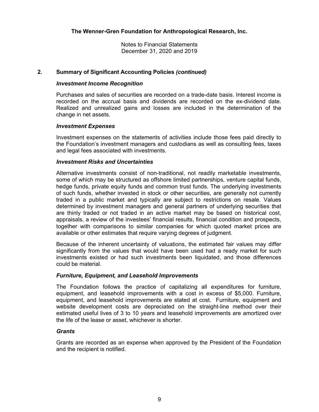# **2. Summary of Significant Accounting Policies** *(continued)*

## *Investment Income Recognition*

Purchases and sales of securities are recorded on a trade-date basis. Interest income is recorded on the accrual basis and dividends are recorded on the ex-dividend date. Realized and unrealized gains and losses are included in the determination of the change in net assets.

#### *Investment Expenses*

Investment expenses on the statements of activities include those fees paid directly to the Foundation's investment managers and custodians as well as consulting fees, taxes and legal fees associated with investments.

#### *Investment Risks and Uncertainties*

Alternative investments consist of non-traditional, not readily marketable investments, some of which may be structured as offshore limited partnerships, venture capital funds, hedge funds, private equity funds and common trust funds. The underlying investments of such funds, whether invested in stock or other securities, are generally not currently traded in a public market and typically are subject to restrictions on resale. Values determined by investment managers and general partners of underlying securities that are thinly traded or not traded in an active market may be based on historical cost, appraisals, a review of the investees' financial results, financial condition and prospects, together with comparisons to similar companies for which quoted market prices are available or other estimates that require varying degrees of judgment.

Because of the inherent uncertainty of valuations, the estimated fair values may differ significantly from the values that would have been used had a ready market for such investments existed or had such investments been liquidated, and those differences could be material.

#### *Furniture, Equipment, and Leasehold Improvements*

The Foundation follows the practice of capitalizing all expenditures for furniture, equipment, and leasehold improvements with a cost in excess of \$5,000. Furniture, equipment, and leasehold improvements are stated at cost. Furniture, equipment and website development costs are depreciated on the straight-line method over their estimated useful lives of 3 to 10 years and leasehold improvements are amortized over the life of the lease or asset, whichever is shorter.

#### *Grants*

Grants are recorded as an expense when approved by the President of the Foundation and the recipient is notified.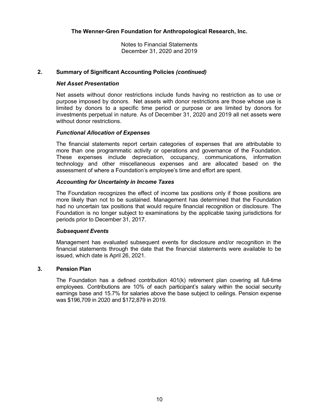# **2. Summary of Significant Accounting Policies** *(continued)*

# *Net Asset Presentation*

Net assets without donor restrictions include funds having no restriction as to use or purpose imposed by donors. Net assets with donor restrictions are those whose use is limited by donors to a specific time period or purpose or are limited by donors for investments perpetual in nature. As of December 31, 2020 and 2019 all net assets were without donor restrictions.

#### *Functional Allocation of Expenses*

The financial statements report certain categories of expenses that are attributable to more than one programmatic activity or operations and governance of the Foundation. These expenses include depreciation, occupancy, communications, information technology and other miscellaneous expenses and are allocated based on the assessment of where a Foundation's employee's time and effort are spent.

#### *Accounting for Uncertainty in Income Taxes*

The Foundation recognizes the effect of income tax positions only if those positions are more likely than not to be sustained. Management has determined that the Foundation had no uncertain tax positions that would require financial recognition or disclosure. The Foundation is no longer subject to examinations by the applicable taxing jurisdictions for periods prior to December 31, 2017.

#### *Subsequent Events*

Management has evaluated subsequent events for disclosure and/or recognition in the financial statements through the date that the financial statements were available to be issued, which date is April 26, 2021.

#### **3. Pension Plan**

The Foundation has a defined contribution 401(k) retirement plan covering all full-time employees. Contributions are 10% of each participant's salary within the social security earnings base and 15.7% for salaries above the base subject to ceilings. Pension expense was \$196,709 in 2020 and \$172,879 in 2019.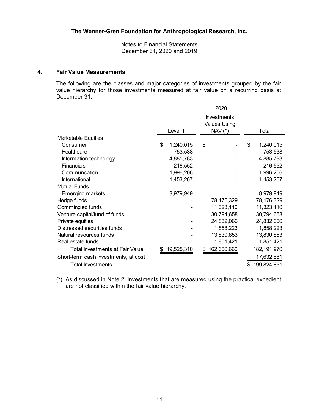# **4. Fair Value Measurements**

The following are the classes and major categories of investments grouped by the fair value hierarchy for those investments measured at fair value on a recurring basis at December 31:

|                                        | 2020                                      |            |    |             |    |               |
|----------------------------------------|-------------------------------------------|------------|----|-------------|----|---------------|
|                                        | <b>Investments</b><br><b>Values Using</b> |            |    |             |    |               |
|                                        |                                           | Level 1    |    | $NAV$ $(*)$ |    | Total         |
| Marketable Equities                    |                                           |            |    |             |    |               |
| Consumer                               | \$                                        | 1,240,015  | \$ |             | \$ | 1,240,015     |
| Healthcare                             |                                           | 753,538    |    |             |    | 753,538       |
| Information technology                 |                                           | 4,885,783  |    |             |    | 4,885,783     |
| <b>Financials</b>                      |                                           | 216,552    |    |             |    | 216,552       |
| Communcation                           |                                           | 1,996,206  |    |             |    | 1,996,206     |
| International                          |                                           | 1,453,267  |    |             |    | 1,453,267     |
| <b>Mutual Funds</b>                    |                                           |            |    |             |    |               |
| <b>Emerging markets</b>                |                                           | 8,979,949  |    |             |    | 8,979,949     |
| Hedge funds                            |                                           |            |    | 78,176,329  |    | 78,176,329    |
| Commingled funds                       |                                           |            |    | 11,323,110  |    | 11,323,110    |
| Venture capital/fund of funds          |                                           |            |    | 30,794,658  |    | 30,794,658    |
| Private equities                       |                                           |            |    | 24,832,066  |    | 24,832,066    |
| Distressed securities funds            |                                           |            |    | 1,858,223   |    | 1,858,223     |
| Natural resources funds                |                                           |            |    | 13,830,853  |    | 13,830,853    |
| Real estate funds                      |                                           |            |    | 1,851,421   |    | 1,851,421     |
| <b>Total Investments at Fair Value</b> | \$.                                       | 19,525,310 | S  | 162,666,660 |    | 182, 191, 970 |
| Short-term cash investments, at cost   |                                           |            |    |             |    | 17,632,881    |
| <b>Total Investments</b>               |                                           |            |    |             | S  | 199,824,851   |

(\*) As discussed in Note 2, investments that are measured using the practical expedient are not classified within the fair value hierarchy.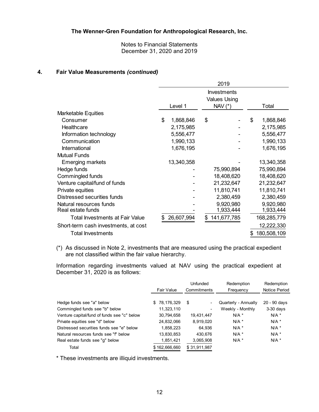#### **4. Fair Value Measurements** *(continued)*

|                                      | 2019               |            |    |                     |    |             |
|--------------------------------------|--------------------|------------|----|---------------------|----|-------------|
|                                      | <b>Investments</b> |            |    |                     |    |             |
|                                      |                    |            |    | <b>Values Using</b> |    |             |
|                                      |                    | Level 1    |    | $NAV$ $(*)$         |    | Total       |
| <b>Marketable Equities</b>           |                    |            |    |                     |    |             |
| Consumer                             | \$                 | 1,868,846  | \$ |                     | \$ | 1,868,846   |
| Healthcare                           |                    | 2,175,985  |    |                     |    | 2,175,985   |
| Information technology               |                    | 5,556,477  |    |                     |    | 5,556,477   |
| Communication                        |                    | 1,990,133  |    |                     |    | 1,990,133   |
| International                        |                    | 1,676,195  |    |                     |    | 1,676,195   |
| <b>Mutual Funds</b>                  |                    |            |    |                     |    |             |
| <b>Emerging markets</b>              |                    | 13,340,358 |    |                     |    | 13,340,358  |
| Hedge funds                          |                    |            |    | 75,990,894          |    | 75,990,894  |
| Commingled funds                     |                    |            |    | 18,408,620          |    | 18,408,620  |
| Venture capital/fund of funds        |                    |            |    | 21,232,647          |    | 21,232,647  |
| Private equities                     |                    |            |    | 11,810,741          |    | 11,810,741  |
| Distressed securities funds          |                    |            |    | 2,380,459           |    | 2,380,459   |
| Natural resources funds              |                    |            |    | 9,920,980           |    | 9,920,980   |
| Real estate funds                    |                    |            |    | 1,933,444           |    | 1,933,444   |
| Total Investments at Fair Value      |                    | 26,607,994 | \$ | 141,677,785         |    | 168,285,779 |
| Short-term cash investments, at cost |                    |            |    |                     |    | 12,222,330  |
| <b>Total Investments</b>             |                    |            |    |                     | \$ | 180,508,109 |

(\*) As discussed in Note 2, investments that are measured using the practical expedient are not classified within the fair value hierarchy.

Information regarding investments valued at NAV using the practical expedient at December 31, 2020 is as follows:

|                                             |                  | Unfunded     | Redemption           | Redemption    |
|---------------------------------------------|------------------|--------------|----------------------|---------------|
|                                             | Fair Value       | Commitments  | Frequency            | Notice Period |
|                                             |                  |              |                      |               |
| Hedge funds see "a" below                   | 78,176,329<br>S. | \$<br>-      | Quarterly - Annually | 20 - 90 days  |
| Commingled funds see "b" below              | 11,323,110       | ٠            | Weekly - Monthly     | $3-30$ days   |
| Venture capital/fund of funds see "c" below | 30,794,658       | 19,431,447   | $N/A$ *              | $N/A$ *       |
| Private equities see "d" below              | 24,832,066       | 8,919,020    | $N/A$ *              | $N/A$ *       |
| Distressed securities funds see "e" below   | 1,858,223        | 64,936       | $N/A$ *              | $N/A$ *       |
| Natural resources funds see "f" below       | 13,830,853       | 430.676      | $N/A$ *              | $N/A$ *       |
| Real estate funds see "g" below             | 1,851,421        | 3,065,908    | $N/A$ *              | $N/A$ *       |
| Total                                       | \$162,666,660    | \$31,911,987 |                      |               |

\* These investments are illiquid investments.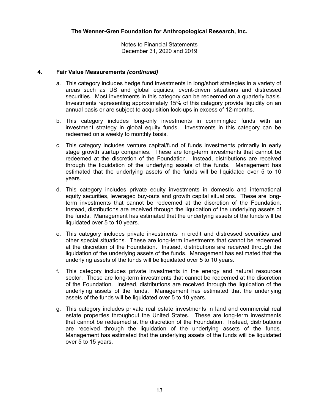## **4. Fair Value Measurements** *(continued)*

- a. This category includes hedge fund investments in long/short strategies in a variety of areas such as US and global equities, event-driven situations and distressed securities. Most investments in this category can be redeemed on a quarterly basis. Investments representing approximately 15% of this category provide liquidity on an annual basis or are subject to acquisition lock-ups in excess of 12-months.
- b. This category includes long-only investments in commingled funds with an investment strategy in global equity funds. Investments in this category can be redeemed on a weekly to monthly basis.
- c. This category includes venture capital/fund of funds investments primarily in early stage growth startup companies. These are long-term investments that cannot be redeemed at the discretion of the Foundation. Instead, distributions are received through the liquidation of the underlying assets of the funds. Management has estimated that the underlying assets of the funds will be liquidated over 5 to 10 years.
- d. This category includes private equity investments in domestic and international equity securities, leveraged buy-outs and growth capital situations. These are longterm investments that cannot be redeemed at the discretion of the Foundation. Instead, distributions are received through the liquidation of the underlying assets of the funds. Management has estimated that the underlying assets of the funds will be liquidated over 5 to 10 years.
- e. This category includes private investments in credit and distressed securities and other special situations. These are long-term investments that cannot be redeemed at the discretion of the Foundation. Instead, distributions are received through the liquidation of the underlying assets of the funds. Management has estimated that the underlying assets of the funds will be liquidated over 5 to 10 years.
- f. This category includes private investments in the energy and natural resources sector. These are long-term investments that cannot be redeemed at the discretion of the Foundation. Instead, distributions are received through the liquidation of the underlying assets of the funds. Management has estimated that the underlying assets of the funds will be liquidated over 5 to 10 years.
- g. This category includes private real estate investments in land and commercial real estate properties throughout the United States. These are long-term investments that cannot be redeemed at the discretion of the Foundation. Instead, distributions are received through the liquidation of the underlying assets of the funds. Management has estimated that the underlying assets of the funds will be liquidated over 5 to 15 years.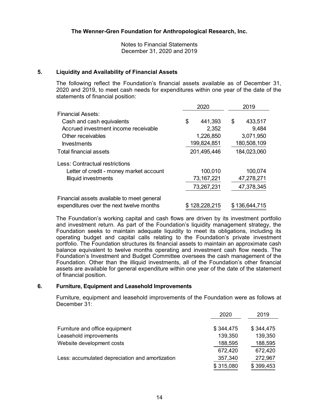## **5. Liquidity and Availability of Financial Assets**

The following reflect the Foundation's financial assets available as of December 31, 2020 and 2019, to meet cash needs for expenditures within one year of the date of the statements of financial position:

|                                            | 2020 |               | 2019 |               |
|--------------------------------------------|------|---------------|------|---------------|
| <b>Financial Assets:</b>                   |      |               |      |               |
| Cash and cash equivalents                  | \$   | 441,393       | \$   | 433,517       |
| Accrued investment income receivable       |      | 2,352         |      | 9,484         |
| Other receivables                          |      | 1,226,850     |      | 3,071,950     |
| <b>Investments</b>                         |      | 199,824,851   |      | 180,508,109   |
| Total financial assets                     |      | 201,495,446   |      | 184,023,060   |
| Less: Contractual restrictions             |      |               |      |               |
| Letter of credit - money market account    |      | 100,010       |      | 100,074       |
| <b>Illiquid investments</b>                |      | 73, 167, 221  |      | 47,278,271    |
|                                            |      | 73,267,231    |      | 47,378,345    |
| Financial assets available to meet general |      |               |      |               |
| expenditures over the next twelve months   |      | \$128,228,215 |      | \$136,644,715 |

The Foundation's working capital and cash flows are driven by its investment portfolio and investment return. As part of the Foundation's liquidity management strategy, the Foundation seeks to maintain adequate liquidity to meet its obligations, including its operating budget and capital calls relating to the Foundation's private investment portfolio. The Foundation structures its financial assets to maintain an approximate cash balance equivalent to twelve months operating and investment cash flow needs. The Foundation's Investment and Budget Committee oversees the cash management of the Foundation. Other than the illiquid investments, all of the Foundation's other financial assets are available for general expenditure within one year of the date of the statement of financial position.

#### **6. Furniture, Equipment and Leasehold Improvements**

Furniture, equipment and leasehold improvements of the Foundation were as follows at December 31:

|                                                 | 2020      | 2019      |
|-------------------------------------------------|-----------|-----------|
|                                                 |           |           |
| Furniture and office equipment                  | \$344,475 | \$344,475 |
| Leasehold improvements                          | 139,350   | 139,350   |
| Website development costs                       | 188,595   | 188,595   |
|                                                 | 672,420   | 672,420   |
| Less: accumulated depreciation and amortization | 357,340   | 272,967   |
|                                                 | \$315,080 | \$399,453 |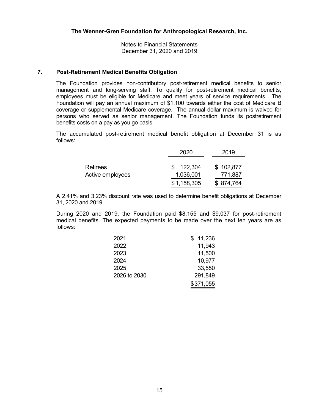# **7. Post-Retirement Medical Benefits Obligation**

The Foundation provides non-contributory post-retirement medical benefits to senior management and long-serving staff. To qualify for post-retirement medical benefits, employees must be eligible for Medicare and meet years of service requirements. The Foundation will pay an annual maximum of \$1,100 towards either the cost of Medicare B coverage or supplemental Medicare coverage. The annual dollar maximum is waived for persons who served as senior management. The Foundation funds its postretirement benefits costs on a pay as you go basis.

The accumulated post-retirement medical benefit obligation at December 31 is as follows:

|                  | 2020        | 2019      |
|------------------|-------------|-----------|
|                  |             |           |
| Retirees         | \$122,304   | \$102,877 |
| Active employees | 1,036,001   | 771,887   |
|                  | \$1,158,305 | \$874,764 |

A 2.41% and 3.23% discount rate was used to determine benefit obligations at December 31, 2020 and 2019.

During 2020 and 2019, the Foundation paid \$8,155 and \$9,037 for post-retirement medical benefits. The expected payments to be made over the next ten years are as follows:

| 2021         | \$11,236  |
|--------------|-----------|
| 2022         | 11,943    |
| 2023         | 11,500    |
| 2024         | 10,977    |
| 2025         | 33,550    |
| 2026 to 2030 | 291,849   |
|              | \$371,055 |